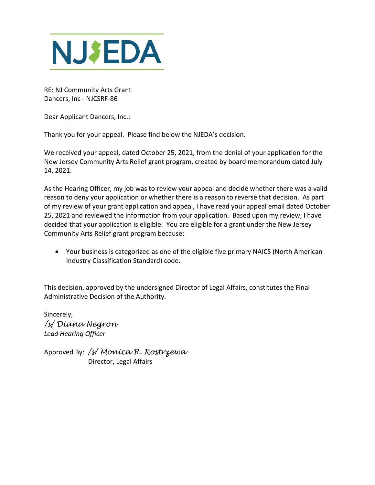

RE: NJ Community Arts Grant Dancers, Inc - NJCSRF-86

Dear Applicant Dancers, Inc.:

Thank you for your appeal. Please find below the NJEDA's decision.

We received your appeal, dated October 25, 2021, from the denial of your application for the New Jersey Community Arts Relief grant program, created by board memorandum dated July 14, 2021.

As the Hearing Officer, my job was to review your appeal and decide whether there was a valid reason to deny your application or whether there is a reason to reverse that decision. As part of my review of your grant application and appeal, I have read your appeal email dated October 25, 2021 and reviewed the information from your application. Based upon my review, I have decided that your application is eligible. You are eligible for a grant under the New Jersey Community Arts Relief grant program because:

• Your business is categorized as one of the eligible five primary NAICS (North American Industry Classification Standard) code.

This decision, approved by the undersigned Director of Legal Affairs, constitutes the Final Administrative Decision of the Authority.

Sincerely, */s/ Diana Negron Lead Hearing Officer*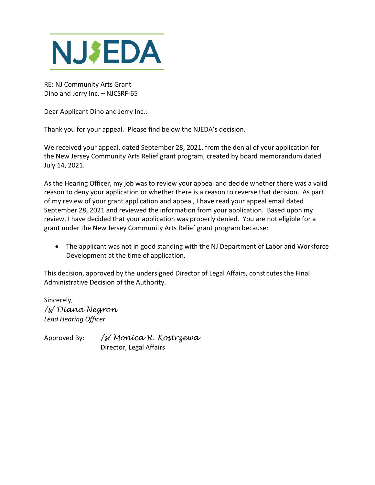

RE: NJ Community Arts Grant Dino and Jerry Inc. – NJCSRF-65

Dear Applicant Dino and Jerry Inc.:

Thank you for your appeal. Please find below the NJEDA's decision.

We received your appeal, dated September 28, 2021, from the denial of your application for the New Jersey Community Arts Relief grant program, created by board memorandum dated July 14, 2021.

As the Hearing Officer, my job was to review your appeal and decide whether there was a valid reason to deny your application or whether there is a reason to reverse that decision. As part of my review of your grant application and appeal, I have read your appeal email dated September 28, 2021 and reviewed the information from your application. Based upon my review, I have decided that your application was properly denied. You are not eligible for a grant under the New Jersey Community Arts Relief grant program because:

• The applicant was not in good standing with the NJ Department of Labor and Workforce Development at the time of application.

This decision, approved by the undersigned Director of Legal Affairs, constitutes the Final Administrative Decision of the Authority.

Sincerely, */s/ Diana Negron Lead Hearing Officer*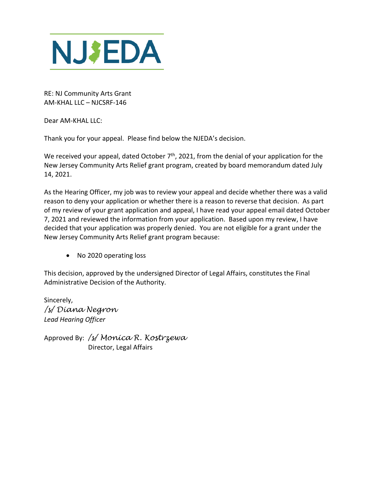

RE: NJ Community Arts Grant AM-KHAL LLC – NJCSRF-146

Dear AM-KHAL LLC:

Thank you for your appeal. Please find below the NJEDA's decision.

We received your appeal, dated October 7<sup>th</sup>, 2021, from the denial of your application for the New Jersey Community Arts Relief grant program, created by board memorandum dated July 14, 2021.

As the Hearing Officer, my job was to review your appeal and decide whether there was a valid reason to deny your application or whether there is a reason to reverse that decision. As part of my review of your grant application and appeal, I have read your appeal email dated October 7, 2021 and reviewed the information from your application. Based upon my review, I have decided that your application was properly denied. You are not eligible for a grant under the New Jersey Community Arts Relief grant program because:

• No 2020 operating loss

This decision, approved by the undersigned Director of Legal Affairs, constitutes the Final Administrative Decision of the Authority.

Sincerely, */s/ Diana Negron Lead Hearing Officer*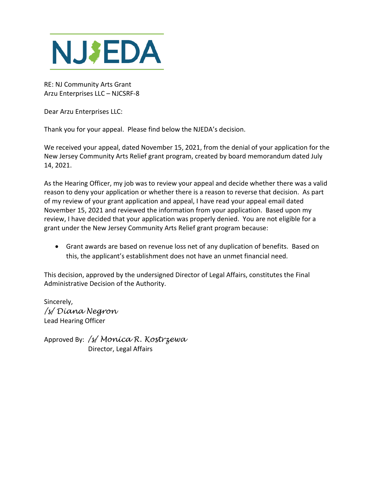

RE: NJ Community Arts Grant Arzu Enterprises LLC – NJCSRF-8

Dear Arzu Enterprises LLC:

Thank you for your appeal. Please find below the NJEDA's decision.

We received your appeal, dated November 15, 2021, from the denial of your application for the New Jersey Community Arts Relief grant program, created by board memorandum dated July 14, 2021.

As the Hearing Officer, my job was to review your appeal and decide whether there was a valid reason to deny your application or whether there is a reason to reverse that decision. As part of my review of your grant application and appeal, I have read your appeal email dated November 15, 2021 and reviewed the information from your application. Based upon my review, I have decided that your application was properly denied. You are not eligible for a grant under the New Jersey Community Arts Relief grant program because:

• Grant awards are based on revenue loss net of any duplication of benefits. Based on this, the applicant's establishment does not have an unmet financial need.

This decision, approved by the undersigned Director of Legal Affairs, constitutes the Final Administrative Decision of the Authority.

Sincerely, */s/ Diana Negron* Lead Hearing Officer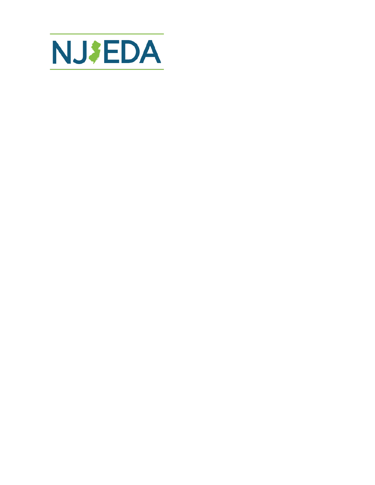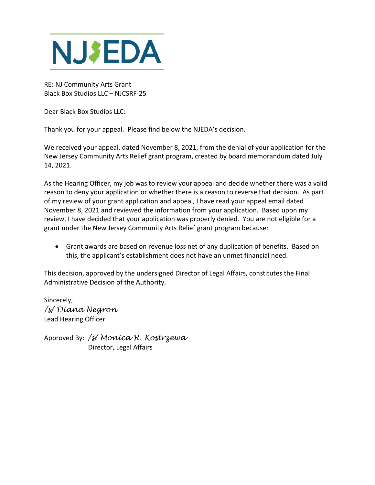

RE: NJ Community Arts Grant Black Box Studios LLC – NJCSRF-25

Dear Black Box Studios LLC:

Thank you for your appeal. Please find below the NJEDA's decision.

We received your appeal, dated November 8, 2021, from the denial of your application for the New Jersey Community Arts Relief grant program, created by board memorandum dated July 14, 2021.

As the Hearing Officer, my job was to review your appeal and decide whether there was a valid reason to deny your application or whether there is a reason to reverse that decision. As part of my review of your grant application and appeal, I have read your appeal email dated November 8, 2021 and reviewed the information from your application. Based upon my review, I have decided that your application was properly denied. You are not eligible for a grant under the New Jersey Community Arts Relief grant program because:

• Grant awards are based on revenue loss net of any duplication of benefits. Based on this, the applicant's establishment does not have an unmet financial need.

This decision, approved by the undersigned Director of Legal Affairs, constitutes the Final Administrative Decision of the Authority.

Sincerely, */s/ Diana Negron* Lead Hearing Officer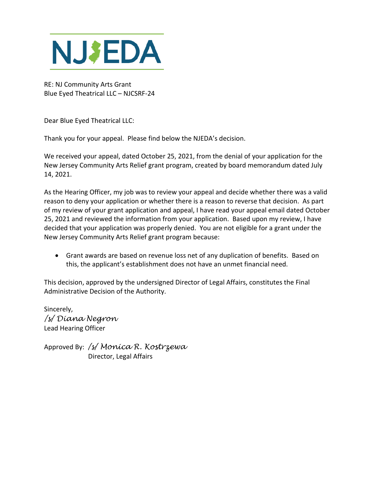

RE: NJ Community Arts Grant Blue Eyed Theatrical LLC – NJCSRF-24

Dear Blue Eyed Theatrical LLC:

Thank you for your appeal. Please find below the NJEDA's decision.

We received your appeal, dated October 25, 2021, from the denial of your application for the New Jersey Community Arts Relief grant program, created by board memorandum dated July 14, 2021.

As the Hearing Officer, my job was to review your appeal and decide whether there was a valid reason to deny your application or whether there is a reason to reverse that decision. As part of my review of your grant application and appeal, I have read your appeal email dated October 25, 2021 and reviewed the information from your application. Based upon my review, I have decided that your application was properly denied. You are not eligible for a grant under the New Jersey Community Arts Relief grant program because:

• Grant awards are based on revenue loss net of any duplication of benefits. Based on this, the applicant's establishment does not have an unmet financial need.

This decision, approved by the undersigned Director of Legal Affairs, constitutes the Final Administrative Decision of the Authority.

Sincerely, */s/ Diana Negron* Lead Hearing Officer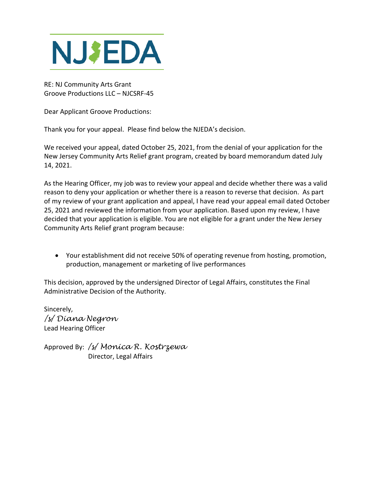

RE: NJ Community Arts Grant Groove Productions LLC – NJCSRF-45

Dear Applicant Groove Productions:

Thank you for your appeal. Please find below the NJEDA's decision.

We received your appeal, dated October 25, 2021, from the denial of your application for the New Jersey Community Arts Relief grant program, created by board memorandum dated July 14, 2021.

As the Hearing Officer, my job was to review your appeal and decide whether there was a valid reason to deny your application or whether there is a reason to reverse that decision. As part of my review of your grant application and appeal, I have read your appeal email dated October 25, 2021 and reviewed the information from your application. Based upon my review, I have decided that your application is eligible. You are not eligible for a grant under the New Jersey Community Arts Relief grant program because:

• Your establishment did not receive 50% of operating revenue from hosting, promotion, production, management or marketing of live performances

This decision, approved by the undersigned Director of Legal Affairs, constitutes the Final Administrative Decision of the Authority.

Sincerely, */s/ Diana Negron* Lead Hearing Officer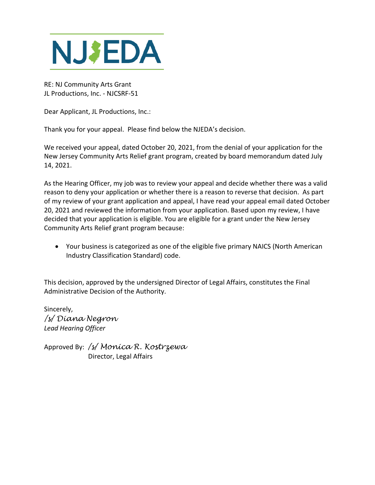

RE: NJ Community Arts Grant JL Productions, Inc. - NJCSRF-51

Dear Applicant, JL Productions, Inc.:

Thank you for your appeal. Please find below the NJEDA's decision.

We received your appeal, dated October 20, 2021, from the denial of your application for the New Jersey Community Arts Relief grant program, created by board memorandum dated July 14, 2021.

As the Hearing Officer, my job was to review your appeal and decide whether there was a valid reason to deny your application or whether there is a reason to reverse that decision. As part of my review of your grant application and appeal, I have read your appeal email dated October 20, 2021 and reviewed the information from your application. Based upon my review, I have decided that your application is eligible. You are eligible for a grant under the New Jersey Community Arts Relief grant program because:

• Your business is categorized as one of the eligible five primary NAICS (North American Industry Classification Standard) code.

This decision, approved by the undersigned Director of Legal Affairs, constitutes the Final Administrative Decision of the Authority.

Sincerely, */s/ Diana Negron Lead Hearing Officer*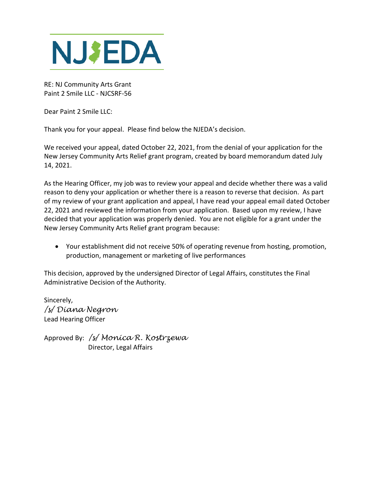

RE: NJ Community Arts Grant Paint 2 Smile LLC - NJCSRF-56

Dear Paint 2 Smile LLC:

Thank you for your appeal. Please find below the NJEDA's decision.

We received your appeal, dated October 22, 2021, from the denial of your application for the New Jersey Community Arts Relief grant program, created by board memorandum dated July 14, 2021.

As the Hearing Officer, my job was to review your appeal and decide whether there was a valid reason to deny your application or whether there is a reason to reverse that decision. As part of my review of your grant application and appeal, I have read your appeal email dated October 22, 2021 and reviewed the information from your application. Based upon my review, I have decided that your application was properly denied. You are not eligible for a grant under the New Jersey Community Arts Relief grant program because:

• Your establishment did not receive 50% of operating revenue from hosting, promotion, production, management or marketing of live performances

This decision, approved by the undersigned Director of Legal Affairs, constitutes the Final Administrative Decision of the Authority.

Sincerely, */s/ Diana Negron* Lead Hearing Officer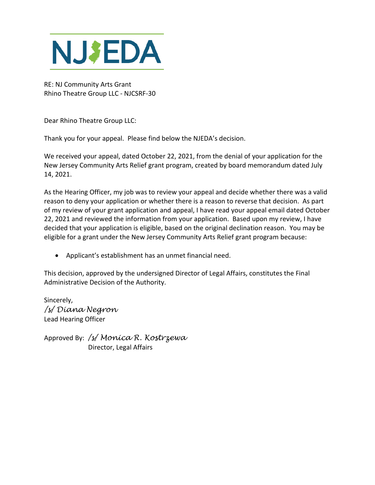

RE: NJ Community Arts Grant Rhino Theatre Group LLC - NJCSRF-30

Dear Rhino Theatre Group LLC:

Thank you for your appeal. Please find below the NJEDA's decision.

We received your appeal, dated October 22, 2021, from the denial of your application for the New Jersey Community Arts Relief grant program, created by board memorandum dated July 14, 2021.

As the Hearing Officer, my job was to review your appeal and decide whether there was a valid reason to deny your application or whether there is a reason to reverse that decision. As part of my review of your grant application and appeal, I have read your appeal email dated October 22, 2021 and reviewed the information from your application. Based upon my review, I have decided that your application is eligible, based on the original declination reason. You may be eligible for a grant under the New Jersey Community Arts Relief grant program because:

• Applicant's establishment has an unmet financial need.

This decision, approved by the undersigned Director of Legal Affairs, constitutes the Final Administrative Decision of the Authority.

Sincerely, */s/ Diana Negron* Lead Hearing Officer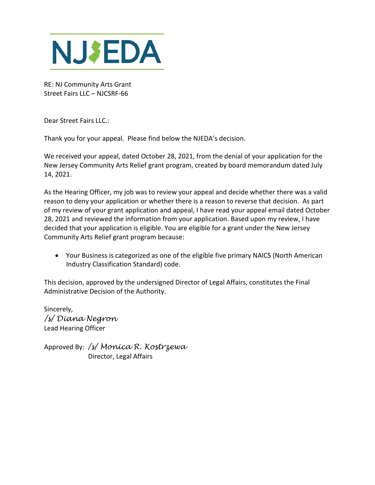

RE: NJ Community Arts Grant Street Fairs LLC – NJCSRF-66

Dear Street Fairs LLC.:

Thank you for your appeal. Please find below the NJEDA's decision.

We received your appeal, dated October 28, 2021, from the denial of your application for the New Jersey Community Arts Relief grant program, created by board memorandum dated July 14, 2021.

As the Hearing Officer, my job was to review your appeal and decide whether there was a valid reason to deny your application or whether there is a reason to reverse that decision. As part of my review of your grant application and appeal, I have read your appeal email dated October 28, 2021 and reviewed the information from your application. Based upon my review, I have decided that your application is eligible. You are eligible for a grant under the New Jersey Community Arts Relief grant program because:

• Your Business is categorized as one of the eligible five primary NAICS (North American Industry Classification Standard) code.

This decision, approved by the undersigned Director of Legal Affairs, constitutes the Final Administrative Decision of the Authority.

Sincerely, */s/ Diana Negron* Lead Hearing Officer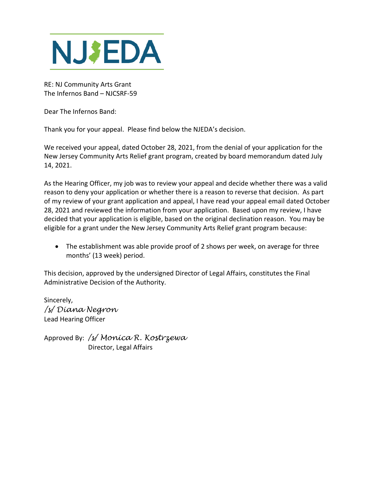

RE: NJ Community Arts Grant The Infernos Band – NJCSRF-59

Dear The Infernos Band:

Thank you for your appeal. Please find below the NJEDA's decision.

We received your appeal, dated October 28, 2021, from the denial of your application for the New Jersey Community Arts Relief grant program, created by board memorandum dated July 14, 2021.

As the Hearing Officer, my job was to review your appeal and decide whether there was a valid reason to deny your application or whether there is a reason to reverse that decision. As part of my review of your grant application and appeal, I have read your appeal email dated October 28, 2021 and reviewed the information from your application. Based upon my review, I have decided that your application is eligible, based on the original declination reason. You may be eligible for a grant under the New Jersey Community Arts Relief grant program because:

• The establishment was able provide proof of 2 shows per week, on average for three months' (13 week) period.

This decision, approved by the undersigned Director of Legal Affairs, constitutes the Final Administrative Decision of the Authority.

Sincerely, */s/ Diana Negron* Lead Hearing Officer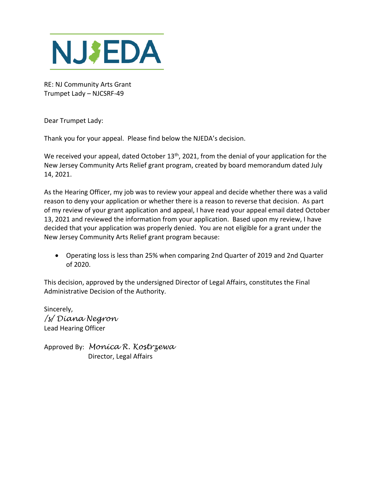

RE: NJ Community Arts Grant Trumpet Lady – NJCSRF-49

Dear Trumpet Lady:

Thank you for your appeal. Please find below the NJEDA's decision.

We received your appeal, dated October 13<sup>th</sup>, 2021, from the denial of your application for the New Jersey Community Arts Relief grant program, created by board memorandum dated July 14, 2021.

As the Hearing Officer, my job was to review your appeal and decide whether there was a valid reason to deny your application or whether there is a reason to reverse that decision. As part of my review of your grant application and appeal, I have read your appeal email dated October 13, 2021 and reviewed the information from your application. Based upon my review, I have decided that your application was properly denied. You are not eligible for a grant under the New Jersey Community Arts Relief grant program because:

• Operating loss is less than 25% when comparing 2nd Quarter of 2019 and 2nd Quarter of 2020.

This decision, approved by the undersigned Director of Legal Affairs, constitutes the Final Administrative Decision of the Authority.

Sincerely, */s/ Diana Negron* Lead Hearing Officer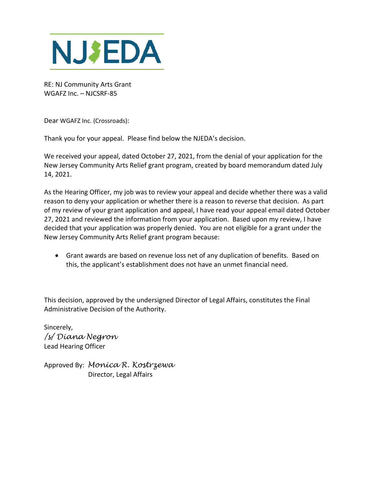

RE: NJ Community Arts Grant WGAFZ Inc. – NJCSRF-85

Dear WGAFZ Inc. (Crossroads):

Thank you for your appeal. Please find below the NJEDA's decision.

We received your appeal, dated October 27, 2021, from the denial of your application for the New Jersey Community Arts Relief grant program, created by board memorandum dated July 14, 2021.

As the Hearing Officer, my job was to review your appeal and decide whether there was a valid reason to deny your application or whether there is a reason to reverse that decision. As part of my review of your grant application and appeal, I have read your appeal email dated October 27, 2021 and reviewed the information from your application. Based upon my review, I have decided that your application was properly denied. You are not eligible for a grant under the New Jersey Community Arts Relief grant program because:

• Grant awards are based on revenue loss net of any duplication of benefits. Based on this, the applicant's establishment does not have an unmet financial need.

This decision, approved by the undersigned Director of Legal Affairs, constitutes the Final Administrative Decision of the Authority.

Sincerely, */s/ Diana Negron* Lead Hearing Officer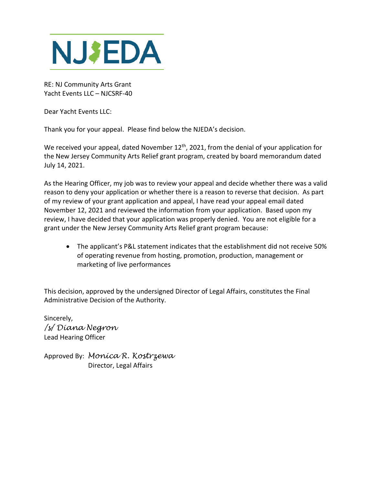

RE: NJ Community Arts Grant Yacht Events LLC – NJCSRF-40

Dear Yacht Events LLC:

Thank you for your appeal. Please find below the NJEDA's decision.

We received your appeal, dated November 12<sup>th</sup>, 2021, from the denial of your application for the New Jersey Community Arts Relief grant program, created by board memorandum dated July 14, 2021.

As the Hearing Officer, my job was to review your appeal and decide whether there was a valid reason to deny your application or whether there is a reason to reverse that decision. As part of my review of your grant application and appeal, I have read your appeal email dated November 12, 2021 and reviewed the information from your application. Based upon my review, I have decided that your application was properly denied. You are not eligible for a grant under the New Jersey Community Arts Relief grant program because:

• The applicant's P&L statement indicates that the establishment did not receive 50% of operating revenue from hosting, promotion, production, management or marketing of live performances

This decision, approved by the undersigned Director of Legal Affairs, constitutes the Final Administrative Decision of the Authority.

Sincerely, */s/ Diana Negron* Lead Hearing Officer